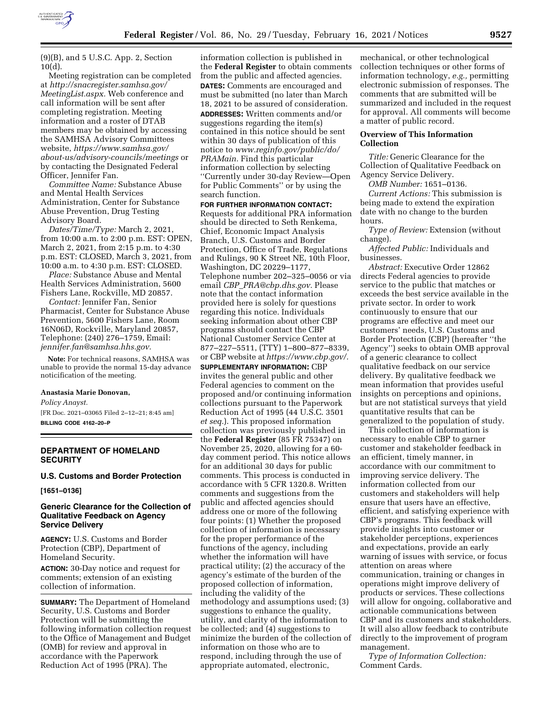

 $(9)(B)$ , and 5 U.S.C. App. 2, Section 10(d).

Meeting registration can be completed at *[http://snacregister.samhsa.gov/](http://snacregister.samhsa.gov/MeetingList.aspx)  [MeetingList.aspx.](http://snacregister.samhsa.gov/MeetingList.aspx)* Web conference and call information will be sent after completing registration. Meeting information and a roster of DTAB members may be obtained by accessing the SAMHSA Advisory Committees website, *[https://www.samhsa.gov/](https://www.samhsa.gov/about-us/advisory-councils/meetings)  [about-us/advisory-councils/meetings](https://www.samhsa.gov/about-us/advisory-councils/meetings)* or by contacting the Designated Federal Officer, Jennifer Fan.

*Committee Name:* Substance Abuse and Mental Health Services Administration, Center for Substance Abuse Prevention, Drug Testing Advisory Board.

*Dates/Time/Type:* March 2, 2021, from 10:00 a.m. to 2:00 p.m. EST: OPEN, March 2, 2021, from 2:15 p.m. to 4:30 p.m. EST: CLOSED, March 3, 2021, from 10:00 a.m. to 4:30 p.m. EST: CLOSED.

*Place:* Substance Abuse and Mental Health Services Administration, 5600 Fishers Lane, Rockville, MD 20857.

*Contact:* Jennifer Fan, Senior Pharmacist, Center for Substance Abuse Prevention, 5600 Fishers Lane, Room 16N06D, Rockville, Maryland 20857, Telephone: (240) 276–1759, Email: *[jennifer.fan@samhsa.hhs.gov.](mailto:jennifer.fan@samhsa.hhs.gov)* 

**Note:** For technical reasons, SAMHSA was unable to provide the normal 15-day advance noticification of the meeting.

#### **Anastasia Marie Donovan,**

*Policy Anayst.* 

[FR Doc. 2021–03065 Filed 2–12–21; 8:45 am] **BILLING CODE 4162–20–P** 

# **DEPARTMENT OF HOMELAND SECURITY**

## **U.S. Customs and Border Protection**

**[1651–0136]** 

## **Generic Clearance for the Collection of Qualitative Feedback on Agency Service Delivery**

**AGENCY:** U.S. Customs and Border Protection (CBP), Department of Homeland Security.

**ACTION:** 30-Day notice and request for comments; extension of an existing collection of information.

**SUMMARY:** The Department of Homeland Security, U.S. Customs and Border Protection will be submitting the following information collection request to the Office of Management and Budget (OMB) for review and approval in accordance with the Paperwork Reduction Act of 1995 (PRA). The

information collection is published in the **Federal Register** to obtain comments from the public and affected agencies. **DATES:** Comments are encouraged and must be submitted (no later than March 18, 2021 to be assured of consideration. **ADDRESSES:** Written comments and/or suggestions regarding the item(s) contained in this notice should be sent within 30 days of publication of this notice to *[www.reginfo.gov/public/do/](http://www.reginfo.gov/public/do/PRAMain) [PRAMain.](http://www.reginfo.gov/public/do/PRAMain)* Find this particular information collection by selecting ''Currently under 30-day Review—Open for Public Comments'' or by using the search function.

**FOR FURTHER INFORMATION CONTACT:**  Requests for additional PRA information should be directed to Seth Renkema, Chief, Economic Impact Analysis Branch, U.S. Customs and Border Protection, Office of Trade, Regulations and Rulings, 90 K Street NE, 10th Floor, Washington, DC 20229–1177, Telephone number 202–325–0056 or via email *CBP*\_*[PRA@cbp.dhs.gov.](mailto:CBP_PRA@cbp.dhs.gov)* Please note that the contact information provided here is solely for questions regarding this notice. Individuals seeking information about other CBP programs should contact the CBP National Customer Service Center at 877–227–5511, (TTY) 1–800–877–8339, or CBP website at *[https://www.cbp.gov/.](https://www.cbp.gov/)* 

**SUPPLEMENTARY INFORMATION:** CBP invites the general public and other Federal agencies to comment on the proposed and/or continuing information collections pursuant to the Paperwork Reduction Act of 1995 (44 U.S.C. 3501 *et seq.*). This proposed information collection was previously published in the **Federal Register** (85 FR 75347) on November 25, 2020, allowing for a 60 day comment period. This notice allows for an additional 30 days for public comments. This process is conducted in accordance with 5 CFR 1320.8. Written comments and suggestions from the public and affected agencies should address one or more of the following four points: (1) Whether the proposed collection of information is necessary for the proper performance of the functions of the agency, including whether the information will have practical utility; (2) the accuracy of the agency's estimate of the burden of the proposed collection of information, including the validity of the methodology and assumptions used; (3) suggestions to enhance the quality, utility, and clarity of the information to be collected; and (4) suggestions to minimize the burden of the collection of information on those who are to respond, including through the use of appropriate automated, electronic,

mechanical, or other technological collection techniques or other forms of information technology, *e.g.,* permitting electronic submission of responses. The comments that are submitted will be summarized and included in the request for approval. All comments will become a matter of public record.

## **Overview of This Information Collection**

*Title:* Generic Clearance for the Collection of Qualitative Feedback on Agency Service Delivery.

*OMB Number:* 1651–0136.

*Current Actions:* This submission is being made to extend the expiration date with no change to the burden hours.

*Type of Review:* Extension (without change).

*Affected Public:* Individuals and businesses.

*Abstract:* Executive Order 12862 directs Federal agencies to provide service to the public that matches or exceeds the best service available in the private sector. In order to work continuously to ensure that our programs are effective and meet our customers' needs, U.S. Customs and Border Protection (CBP) (hereafter ''the Agency'') seeks to obtain OMB approval of a generic clearance to collect qualitative feedback on our service delivery. By qualitative feedback we mean information that provides useful insights on perceptions and opinions, but are not statistical surveys that yield quantitative results that can be generalized to the population of study.

This collection of information is necessary to enable CBP to garner customer and stakeholder feedback in an efficient, timely manner, in accordance with our commitment to improving service delivery. The information collected from our customers and stakeholders will help ensure that users have an effective, efficient, and satisfying experience with CBP's programs. This feedback will provide insights into customer or stakeholder perceptions, experiences and expectations, provide an early warning of issues with service, or focus attention on areas where communication, training or changes in operations might improve delivery of products or services. These collections will allow for ongoing, collaborative and actionable communications between CBP and its customers and stakeholders. It will also allow feedback to contribute directly to the improvement of program management.

*Type of Information Collection:*  Comment Cards.